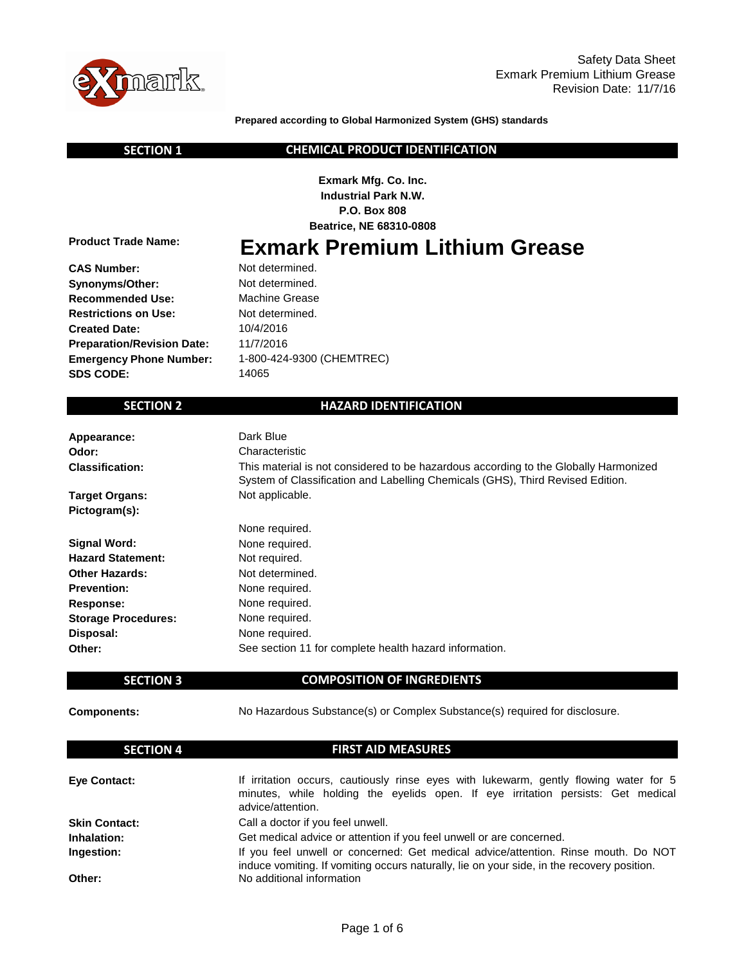

**Prepared according to Global Harmonized System (GHS) standards**

 **SECTION 1**

### **CHEMICAL PRODUCT IDENTIFICATION**

**Exmark Mfg. Co. Inc. Industrial Park N.W. P.O. Box 808 Beatrice, NE 68310-0808**

**Product Trade Name:**

**Exmark Premium Lithium Grease**

**CAS Number: Synonyms/Other: Recommended Use: Restrictions on Use: Created Date: Preparation/Revision Date: Emergency Phone Number: SDS CODE:**

Not determined. Machine Grease Not determined. Not determined. 1-800-424-9300 (CHEMTREC) 11/7/2016 10/4/2016 14065

# **SECTION 2**

# **HAZARD IDENTIFICATION**

| Appearance:                | Dark Blue                                                                                                                                                              |
|----------------------------|------------------------------------------------------------------------------------------------------------------------------------------------------------------------|
| Odor:                      | Characteristic                                                                                                                                                         |
| <b>Classification:</b>     | This material is not considered to be hazardous according to the Globally Harmonized<br>System of Classification and Labelling Chemicals (GHS), Third Revised Edition. |
| <b>Target Organs:</b>      | Not applicable.                                                                                                                                                        |
| Pictogram(s):              |                                                                                                                                                                        |
|                            | None required.                                                                                                                                                         |
| <b>Signal Word:</b>        | None required.                                                                                                                                                         |
| <b>Hazard Statement:</b>   | Not required.                                                                                                                                                          |
| <b>Other Hazards:</b>      | Not determined.                                                                                                                                                        |
| <b>Prevention:</b>         | None required.                                                                                                                                                         |
| Response:                  | None required.                                                                                                                                                         |
| <b>Storage Procedures:</b> | None required.                                                                                                                                                         |
| Disposal:                  | None required.                                                                                                                                                         |
| Other:                     | See section 11 for complete health hazard information.                                                                                                                 |

# **SECTION 3**

**COMPOSITION OF INGREDIENTS**

### **Components:**

No Hazardous Substance(s) or Complex Substance(s) required for disclosure.

| <b>SECTION 4</b>     | <b>FIRST AID MEASURES</b>                                                                                                                                                        |
|----------------------|----------------------------------------------------------------------------------------------------------------------------------------------------------------------------------|
| <b>Eve Contact:</b>  | If irritation occurs, cautiously rinse eyes with lukewarm, gently flowing water for 5                                                                                            |
|                      | minutes, while holding the eyelids open. If eye irritation persists: Get medical<br>advice/attention.                                                                            |
| <b>Skin Contact:</b> | Call a doctor if you feel unwell.                                                                                                                                                |
| Inhalation:          | Get medical advice or attention if you feel unwell or are concerned.                                                                                                             |
| Ingestion:           | If you feel unwell or concerned: Get medical advice/attention. Rinse mouth. Do NOT<br>induce vomiting. If vomiting occurs naturally, lie on your side, in the recovery position. |
| Other:               | No additional information                                                                                                                                                        |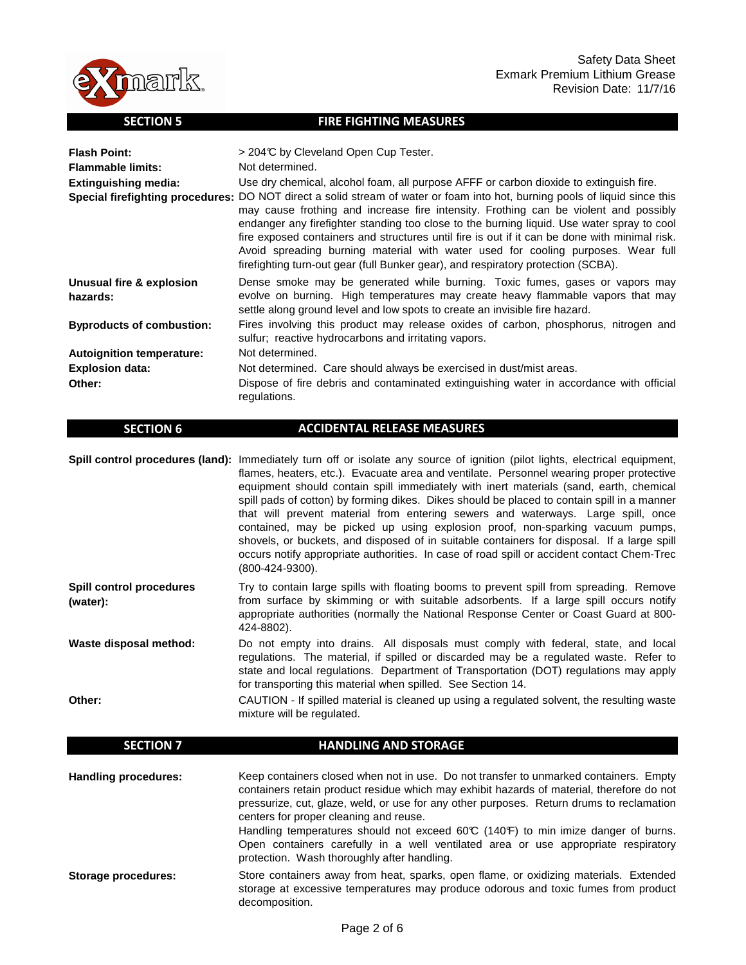

### **SECTION 5**

#### **FIRE FIGHTING MEASURES**

| <b>Flash Point:</b>                  | > 204℃ by Cleveland Open Cup Tester.                                                                                                                                                                                                                                                                                                                                                                                                                                                                                                                                                        |
|--------------------------------------|---------------------------------------------------------------------------------------------------------------------------------------------------------------------------------------------------------------------------------------------------------------------------------------------------------------------------------------------------------------------------------------------------------------------------------------------------------------------------------------------------------------------------------------------------------------------------------------------|
| <b>Flammable limits:</b>             | Not determined.                                                                                                                                                                                                                                                                                                                                                                                                                                                                                                                                                                             |
| Extinguishing media:                 | Use dry chemical, alcohol foam, all purpose AFFF or carbon dioxide to extinguish fire.                                                                                                                                                                                                                                                                                                                                                                                                                                                                                                      |
|                                      | Special firefighting procedures: DO NOT direct a solid stream of water or foam into hot, burning pools of liquid since this<br>may cause frothing and increase fire intensity. Frothing can be violent and possibly<br>endanger any firefighter standing too close to the burning liquid. Use water spray to cool<br>fire exposed containers and structures until fire is out if it can be done with minimal risk.<br>Avoid spreading burning material with water used for cooling purposes. Wear full<br>firefighting turn-out gear (full Bunker gear), and respiratory protection (SCBA). |
| Unusual fire & explosion<br>hazards: | Dense smoke may be generated while burning. Toxic fumes, gases or vapors may<br>evolve on burning. High temperatures may create heavy flammable vapors that may<br>settle along ground level and low spots to create an invisible fire hazard.                                                                                                                                                                                                                                                                                                                                              |
| <b>Byproducts of combustion:</b>     | Fires involving this product may release oxides of carbon, phosphorus, nitrogen and<br>sulfur; reactive hydrocarbons and irritating vapors.                                                                                                                                                                                                                                                                                                                                                                                                                                                 |
| <b>Autoignition temperature:</b>     | Not determined.                                                                                                                                                                                                                                                                                                                                                                                                                                                                                                                                                                             |
| <b>Explosion data:</b>               | Not determined. Care should always be exercised in dust/mist areas.                                                                                                                                                                                                                                                                                                                                                                                                                                                                                                                         |
| Other:                               | Dispose of fire debris and contaminated extinguishing water in accordance with official<br>regulations.                                                                                                                                                                                                                                                                                                                                                                                                                                                                                     |

#### **SECTION 6**

# **ACCIDENTAL RELEASE MEASURES**

Spill control procedures (land): Immediately turn off or isolate any source of ignition (pilot lights, electrical equipment, flames, heaters, etc.). Evacuate area and ventilate. Personnel wearing proper protective equipment should contain spill immediately with inert materials (sand, earth, chemical spill pads of cotton) by forming dikes. Dikes should be placed to contain spill in a manner that will prevent material from entering sewers and waterways. Large spill, once contained, may be picked up using explosion proof, non-sparking vacuum pumps, shovels, or buckets, and disposed of in suitable containers for disposal. If a large spill occurs notify appropriate authorities. In case of road spill or accident contact Chem-Trec (800-424-9300).

**Spill control procedures (water):** Try to contain large spills with floating booms to prevent spill from spreading. Remove from surface by skimming or with suitable adsorbents. If a large spill occurs notify appropriate authorities (normally the National Response Center or Coast Guard at 800- 424-8802).

**Waste disposal method:** Do not empty into drains. All disposals must comply with federal, state, and local regulations. The material, if spilled or discarded may be a regulated waste. Refer to state and local regulations. Department of Transportation (DOT) regulations may apply for transporting this material when spilled. See Section 14.

**Other:** CAUTION - If spilled material is cleaned up using a regulated solvent, the resulting waste mixture will be regulated.

#### **SECTION 7 Handling procedures: Storage procedures: HANDLING AND STORAGE** Keep containers closed when not in use. Do not transfer to unmarked containers. Empty containers retain product residue which may exhibit hazards of material, therefore do not pressurize, cut, glaze, weld, or use for any other purposes. Return drums to reclamation centers for proper cleaning and reuse. Handling temperatures should not exceed 60°C (140°F) to min imize danger of burns. Open containers carefully in a well ventilated area or use appropriate respiratory protection. Wash thoroughly after handling. Store containers away from heat, sparks, open flame, or oxidizing materials. Extended storage at excessive temperatures may produce odorous and toxic fumes from product decomposition.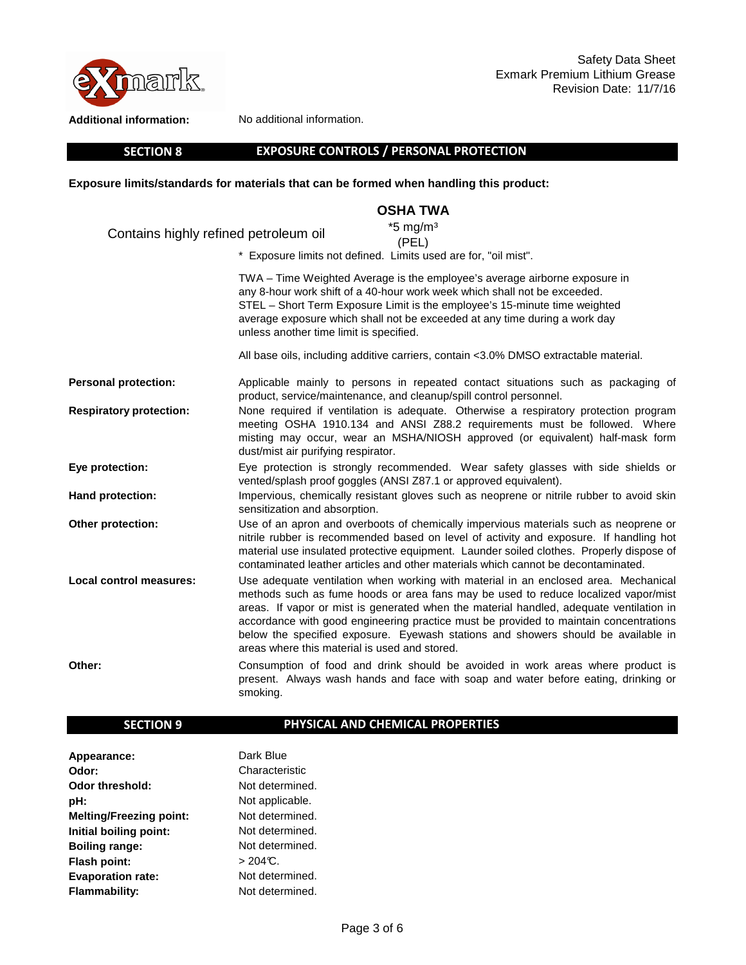

**Additional information:**

No additional information.

 **SECTION 8**

# **EXPOSURE CONTROLS / PERSONAL PROTECTION**

**Exposure limits/standards for materials that can be formed when handling this product:** 

# **OSHA TWA**

| Contains highly refined petroleum oil | $*5$ mg/m <sup>3</sup>                                                                                                                                                                                                                                                                                                                                                                                                                                                                              |  |
|---------------------------------------|-----------------------------------------------------------------------------------------------------------------------------------------------------------------------------------------------------------------------------------------------------------------------------------------------------------------------------------------------------------------------------------------------------------------------------------------------------------------------------------------------------|--|
|                                       | (PEL)<br>* Exposure limits not defined. Limits used are for, "oil mist".                                                                                                                                                                                                                                                                                                                                                                                                                            |  |
|                                       | TWA - Time Weighted Average is the employee's average airborne exposure in<br>any 8-hour work shift of a 40-hour work week which shall not be exceeded.<br>STEL - Short Term Exposure Limit is the employee's 15-minute time weighted<br>average exposure which shall not be exceeded at any time during a work day<br>unless another time limit is specified.                                                                                                                                      |  |
|                                       | All base oils, including additive carriers, contain <3.0% DMSO extractable material.                                                                                                                                                                                                                                                                                                                                                                                                                |  |
| <b>Personal protection:</b>           | Applicable mainly to persons in repeated contact situations such as packaging of<br>product, service/maintenance, and cleanup/spill control personnel.                                                                                                                                                                                                                                                                                                                                              |  |
| <b>Respiratory protection:</b>        | None required if ventilation is adequate. Otherwise a respiratory protection program<br>meeting OSHA 1910.134 and ANSI Z88.2 requirements must be followed. Where<br>misting may occur, wear an MSHA/NIOSH approved (or equivalent) half-mask form<br>dust/mist air purifying respirator.                                                                                                                                                                                                           |  |
| Eye protection:                       | Eye protection is strongly recommended. Wear safety glasses with side shields or<br>vented/splash proof goggles (ANSI Z87.1 or approved equivalent).                                                                                                                                                                                                                                                                                                                                                |  |
| <b>Hand protection:</b>               | Impervious, chemically resistant gloves such as neoprene or nitrile rubber to avoid skin<br>sensitization and absorption.                                                                                                                                                                                                                                                                                                                                                                           |  |
| Other protection:                     | Use of an apron and overboots of chemically impervious materials such as neoprene or<br>nitrile rubber is recommended based on level of activity and exposure. If handling hot<br>material use insulated protective equipment. Launder soiled clothes. Properly dispose of<br>contaminated leather articles and other materials which cannot be decontaminated.                                                                                                                                     |  |
| Local control measures:               | Use adequate ventilation when working with material in an enclosed area. Mechanical<br>methods such as fume hoods or area fans may be used to reduce localized vapor/mist<br>areas. If vapor or mist is generated when the material handled, adequate ventilation in<br>accordance with good engineering practice must be provided to maintain concentrations<br>below the specified exposure. Eyewash stations and showers should be available in<br>areas where this material is used and stored. |  |
| Other:                                | Consumption of food and drink should be avoided in work areas where product is<br>present. Always wash hands and face with soap and water before eating, drinking or<br>smoking.                                                                                                                                                                                                                                                                                                                    |  |

# **SECTION 9**

# **PHYSICAL AND CHEMICAL PROPERTIES**

| Appearance:                    | Dark Blue       |
|--------------------------------|-----------------|
| Odor:                          | Characteristic  |
| Odor threshold:                | Not determined. |
| pH:                            | Not applicable. |
| <b>Melting/Freezing point:</b> | Not determined. |
| Initial boiling point:         | Not determined. |
| <b>Boiling range:</b>          | Not determined. |
| Flash point:                   | $> 204C$ .      |
| <b>Evaporation rate:</b>       | Not determined. |
| <b>Flammability:</b>           | Not determined. |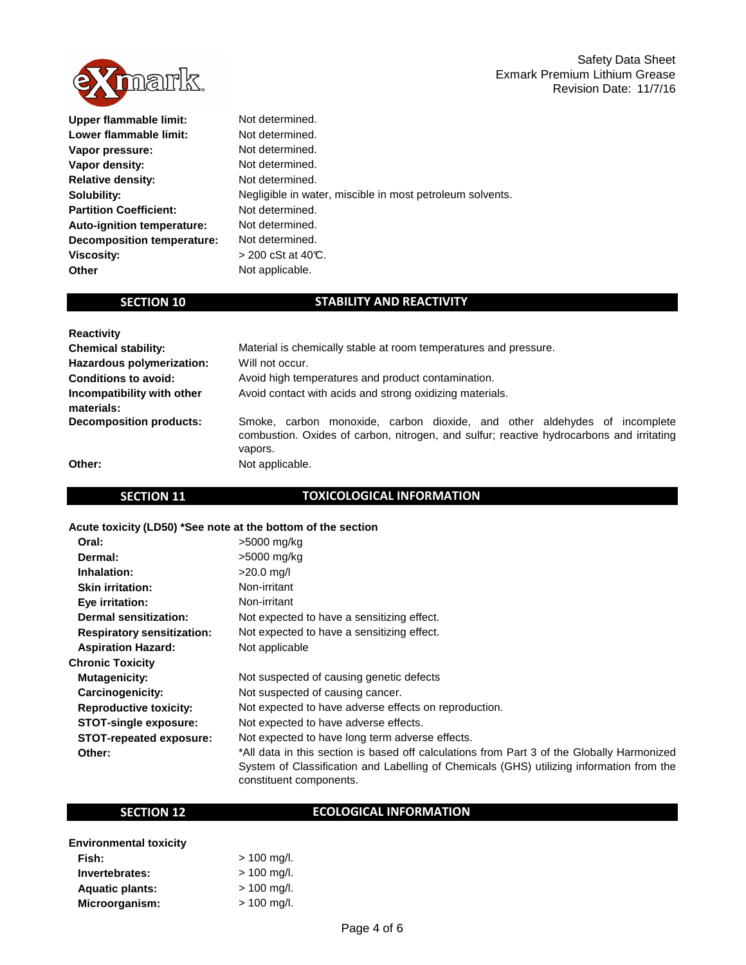

| Upper flammable limit:            | Not determined.                                           |
|-----------------------------------|-----------------------------------------------------------|
| Lower flammable limit:            | Not determined.                                           |
| Vapor pressure:                   | Not determined.                                           |
| Vapor density:                    | Not determined.                                           |
| <b>Relative density:</b>          | Not determined.                                           |
| Solubility:                       | Negligible in water, miscible in most petroleum solvents. |
| <b>Partition Coefficient:</b>     | Not determined.                                           |
| <b>Auto-ignition temperature:</b> | Not determined.                                           |
| <b>Decomposition temperature:</b> | Not determined.                                           |
| <b>Viscosity:</b>                 | $>$ 200 cSt at 40°C.                                      |
| Other                             | Not applicable.                                           |
|                                   |                                                           |

# **SECTION 10**

# **STABILITY AND REACTIVITY**

| <b>Reactivity</b>                        |                                                                                                                                                                                  |
|------------------------------------------|----------------------------------------------------------------------------------------------------------------------------------------------------------------------------------|
| <b>Chemical stability:</b>               | Material is chemically stable at room temperatures and pressure.                                                                                                                 |
| Hazardous polymerization:                | Will not occur.                                                                                                                                                                  |
| <b>Conditions to avoid:</b>              | Avoid high temperatures and product contamination.                                                                                                                               |
| Incompatibility with other<br>materials: | Avoid contact with acids and strong oxidizing materials.                                                                                                                         |
| <b>Decomposition products:</b>           | Smoke, carbon monoxide, carbon dioxide, and other aldehydes of incomplete<br>combustion. Oxides of carbon, nitrogen, and sulfur; reactive hydrocarbons and irritating<br>vapors. |
| Other:                                   | Not applicable.                                                                                                                                                                  |

# **SECTION 11**

# **TOXICOLOGICAL INFORMATION**

# **Acute toxicity (LD50) \*See note at the bottom of the section**

| Oral:                             | >5000 mg/kg                                                                                                                                                                                                       |
|-----------------------------------|-------------------------------------------------------------------------------------------------------------------------------------------------------------------------------------------------------------------|
| Dermal:                           | >5000 mg/kg                                                                                                                                                                                                       |
| Inhalation:                       | $>20.0$ mg/l                                                                                                                                                                                                      |
| <b>Skin irritation:</b>           | Non-irritant                                                                                                                                                                                                      |
| Eye irritation:                   | Non-irritant                                                                                                                                                                                                      |
| <b>Dermal sensitization:</b>      | Not expected to have a sensitizing effect.                                                                                                                                                                        |
| <b>Respiratory sensitization:</b> | Not expected to have a sensitizing effect.                                                                                                                                                                        |
| <b>Aspiration Hazard:</b>         | Not applicable                                                                                                                                                                                                    |
| <b>Chronic Toxicity</b>           |                                                                                                                                                                                                                   |
| <b>Mutagenicity:</b>              | Not suspected of causing genetic defects                                                                                                                                                                          |
| Carcinogenicity:                  | Not suspected of causing cancer.                                                                                                                                                                                  |
| <b>Reproductive toxicity:</b>     | Not expected to have adverse effects on reproduction.                                                                                                                                                             |
| <b>STOT-single exposure:</b>      | Not expected to have adverse effects.                                                                                                                                                                             |
| <b>STOT-repeated exposure:</b>    | Not expected to have long term adverse effects.                                                                                                                                                                   |
| Other:                            | *All data in this section is based off calculations from Part 3 of the Globally Harmonized<br>System of Classification and Labelling of Chemicals (GHS) utilizing information from the<br>constituent components. |

# **SECTION 12**

# **ECOLOGICAL INFORMATION**

| <b>Environmental toxicity</b> |               |
|-------------------------------|---------------|
| Fish:                         | $> 100$ mg/l. |
| Invertebrates:                | $> 100$ mg/l. |
| <b>Aquatic plants:</b>        | $> 100$ mg/l. |
| Microorganism:                | $> 100$ mg/l. |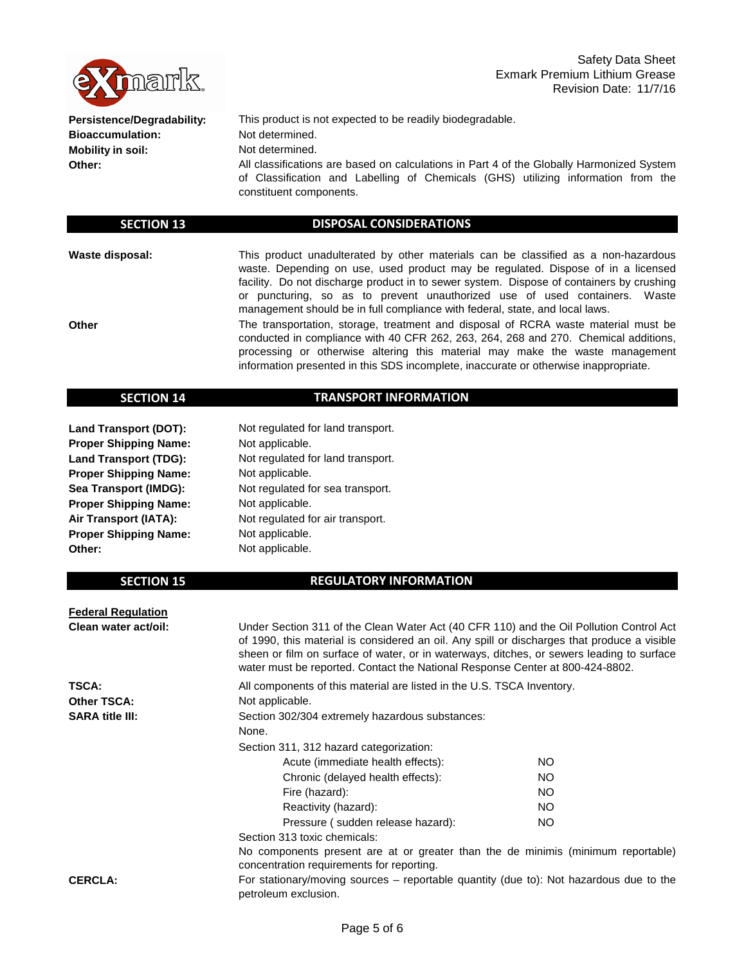

**Persistence/Degradability: Bioaccumulation: Mobility in soil: Other:**

This product is not expected to be readily biodegradable. Not determined. All classifications are based on calculations in Part 4 of the Globally Harmonized System of Classification and Labelling of Chemicals (GHS) utilizing information from the constituent components. Not determined.

#### **SECTION 13**

### **DISPOSAL CONSIDERATIONS**

**Waste disposal:**

**Other**

This product unadulterated by other materials can be classified as a non-hazardous waste. Depending on use, used product may be regulated. Dispose of in a licensed facility. Do not discharge product in to sewer system. Dispose of containers by crushing or puncturing, so as to prevent unauthorized use of used containers. Waste management should be in full compliance with federal, state, and local laws.

The transportation, storage, treatment and disposal of RCRA waste material must be conducted in compliance with 40 CFR 262, 263, 264, 268 and 270. Chemical additions, processing or otherwise altering this material may make the waste management information presented in this SDS incomplete, inaccurate or otherwise inappropriate.

#### **SECTION 14**

# **TRANSPORT INFORMATION**

**Land Transport (DOT): Proper Shipping Name: Land Transport (TDG): Proper Shipping Name: Sea Transport (IMDG): Proper Shipping Name: Air Transport (IATA): Proper Shipping Name: Other:**

Not applicable. Not applicable. Not applicable. Not applicable. Not regulated for land transport. Not regulated for land transport. Not regulated for sea transport. Not regulated for air transport. Not applicable.

# **SECTION 15**

# **REGULATORY INFORMATION**

**Federal Regulation Clean water act/oil: TSCA: Other TSCA: SARA title III:** Section 313 toxic chemicals: **CERCLA:** NO NO Reactivity (hazard): Pressure ( sudden release hazard): For stationary/moving sources – reportable quantity (due to): Not hazardous due to the petroleum exclusion. Not applicable. All components of this material are listed in the U.S. TSCA Inventory. Under Section 311 of the Clean Water Act (40 CFR 110) and the Oil Pollution Control Act of 1990, this material is considered an oil. Any spill or discharges that produce a visible sheen or film on surface of water, or in waterways, ditches, or sewers leading to surface water must be reported. Contact the National Response Center at 800-424-8802. NO NO NO No components present are at or greater than the de minimis (minimum reportable) concentration requirements for reporting. Fire (hazard): Section 311, 312 hazard categorization: Acute (immediate health effects): Section 302/304 extremely hazardous substances: None. Chronic (delayed health effects):